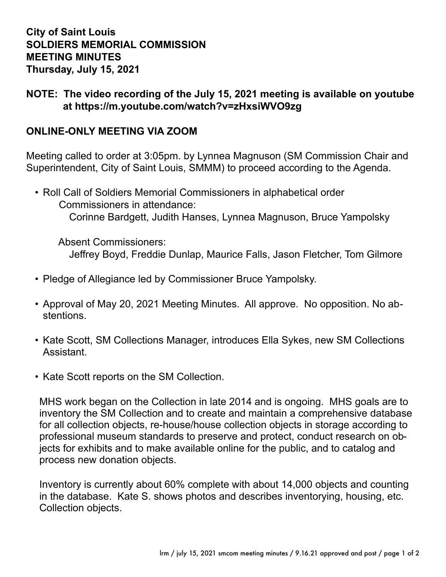## **City of Saint Louis SOLDIERS MEMORIAL COMMISSION MEETING MINUTES Thursday, July 15, 2021**

## **NOTE: The video recording of the July 15, 2021 meeting is available on youtube at <https://m.youtube.com/watch?v=zHxsiWVO9zg>**

## **ONLINE-ONLY MEETING VIA ZOOM**

Meeting called to order at 3:05pm. by Lynnea Magnuson (SM Commission Chair and Superintendent, City of Saint Louis, SMMM) to proceed according to the Agenda.

• Roll Call of Soldiers Memorial Commissioners in alphabetical order Commissioners in attendance: Corinne Bardgett, Judith Hanses, Lynnea Magnuson, Bruce Yampolsky

 Absent Commissioners: Jeffrey Boyd, Freddie Dunlap, Maurice Falls, Jason Fletcher, Tom Gilmore

- Pledge of Allegiance led by Commissioner Bruce Yampolsky.
- Approval of May 20, 2021 Meeting Minutes. All approve. No opposition. No abstentions.
- Kate Scott, SM Collections Manager, introduces Ella Sykes, new SM Collections Assistant.
- Kate Scott reports on the SM Collection.

MHS work began on the Collection in late 2014 and is ongoing. MHS goals are to inventory the SM Collection and to create and maintain a comprehensive database for all collection objects, re-house/house collection objects in storage according to professional museum standards to preserve and protect, conduct research on objects for exhibits and to make available online for the public, and to catalog and process new donation objects.

Inventory is currently about 60% complete with about 14,000 objects and counting in the database. Kate S. shows photos and describes inventorying, housing, etc. Collection objects.